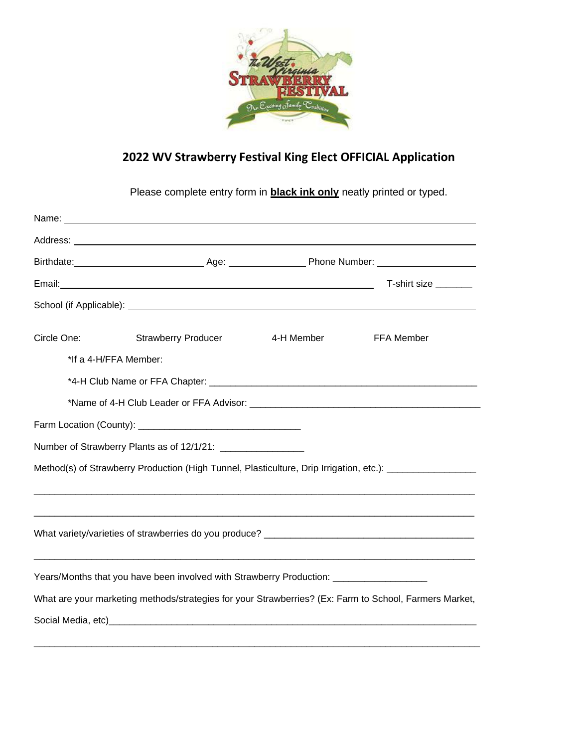

## **2022 WV Strawberry Festival King Elect OFFICIAL Application**

Please complete entry form in **black ink only** neatly printed or typed.

|                       |                                                                                         |            | T-shirt size ________                                                                                                                                                                  |
|-----------------------|-----------------------------------------------------------------------------------------|------------|----------------------------------------------------------------------------------------------------------------------------------------------------------------------------------------|
|                       |                                                                                         |            |                                                                                                                                                                                        |
| Circle One:           | <b>Strawberry Producer</b>                                                              | 4-H Member | <b>FFA Member</b>                                                                                                                                                                      |
| *If a 4-H/FFA Member: |                                                                                         |            |                                                                                                                                                                                        |
|                       |                                                                                         |            |                                                                                                                                                                                        |
|                       |                                                                                         |            |                                                                                                                                                                                        |
|                       |                                                                                         |            |                                                                                                                                                                                        |
|                       |                                                                                         |            |                                                                                                                                                                                        |
|                       |                                                                                         |            | Method(s) of Strawberry Production (High Tunnel, Plasticulture, Drip Irrigation, etc.): [1997] Method(s) of Strawberry Production (High Tunnel, Plasticulture, Drip Irrigation, etc.): |
|                       |                                                                                         |            |                                                                                                                                                                                        |
|                       |                                                                                         |            |                                                                                                                                                                                        |
|                       | Years/Months that you have been involved with Strawberry Production: __________________ |            |                                                                                                                                                                                        |
|                       |                                                                                         |            | What are your marketing methods/strategies for your Strawberries? (Ex: Farm to School, Farmers Market,                                                                                 |
|                       |                                                                                         |            |                                                                                                                                                                                        |
|                       |                                                                                         |            |                                                                                                                                                                                        |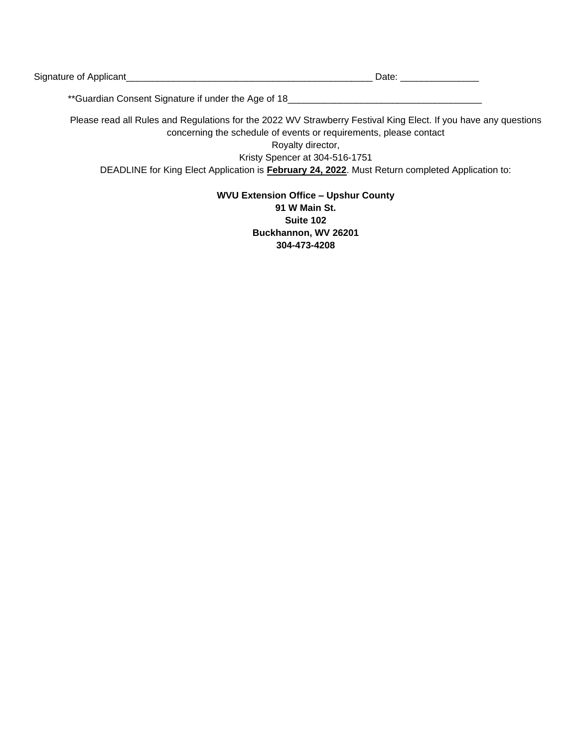| Signature<br><b>. .</b><br>. |  |
|------------------------------|--|
|                              |  |

\*\*Guardian Consent Signature if under the Age of 18\_\_\_\_\_\_\_\_\_\_\_\_\_\_\_\_\_\_\_\_\_\_\_\_\_\_\_\_\_\_

Please read all Rules and Regulations for the 2022 WV Strawberry Festival King Elect. If you have any questions concerning the schedule of events or requirements, please contact

> Royalty director, Kristy Spencer at 304-516-1751

DEADLINE for King Elect Application is **February 24, 2022**. Must Return completed Application to:

## **WVU Extension Office – Upshur County 91 W Main St. Suite 102 Buckhannon, WV 26201 304-473-4208**